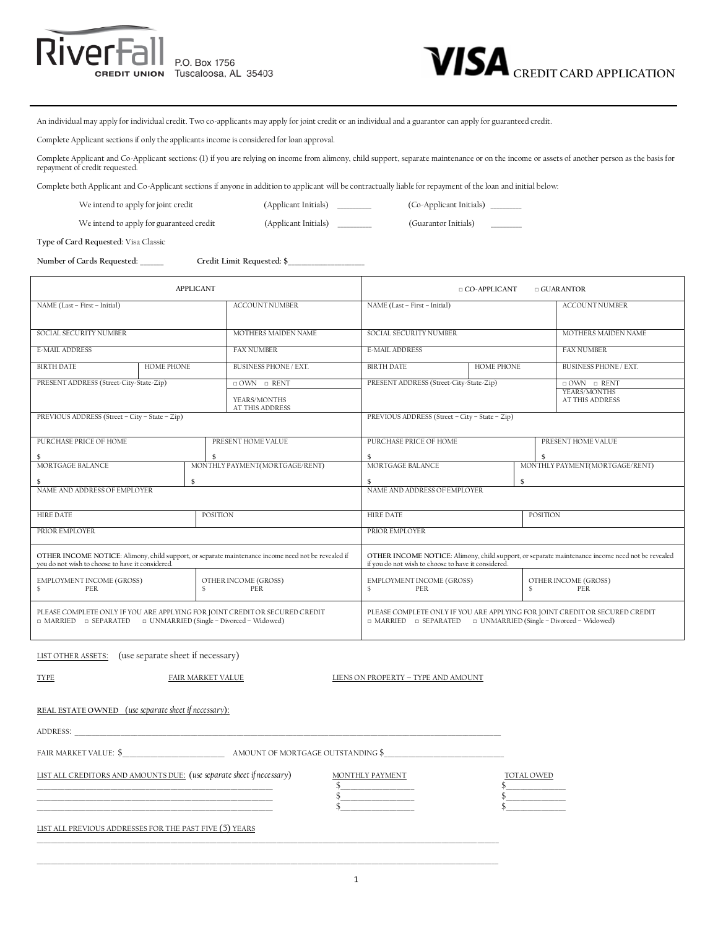

 $\sum_{\text{R. B. B. C. B. (R. 1756)}}$  **P.**O. Box 1756<br> **CREDIT UNION** Tuscaloosa, AL 35403

An individual may apply for individual credit. Two co-applicants may apply for joint credit or an individual and a guarantor can apply for guaranteed credit.

Complete Applicant sections if only the applicants income is considered for loan approval.

Complete Applicant and Co-Applicant sections: (1) if you are relying on income from alimony, child support, separate maintenance or on the income or assets of another person as the basis for repayment of credit requested.

Complete both Applicant and Co-Applicant sections if anyone in addition to applicant will be contractually liable for repayment of the loan and initial below:

| We intend to apply for joint credit | (Applicant Initials) | (Co-Applicant Initials) |
|-------------------------------------|----------------------|-------------------------|
|                                     |                      |                         |

We intend to apply for guaranteed credit (Applicant Initials) \_\_\_\_\_\_\_\_\_\_\_\_ (Guarantor Initials) \_\_\_

**Type of Card Requested:** Visa Classic

Number of Cards Requested: \_\_\_\_\_\_\_\_\_\_\_\_\_\_\_\_\_\_\_Credit Limit Requested: \$\_\_\_\_\_\_\_\_\_\_

| <b>APPLICANT</b>                                                                                                                                              |                                          |                                | $\Box$ CO-APPLICANT<br>$\Box$ GUARANTOR                                                                                                                |                                                |                                |                                                                                                                               |                        |  |
|---------------------------------------------------------------------------------------------------------------------------------------------------------------|------------------------------------------|--------------------------------|--------------------------------------------------------------------------------------------------------------------------------------------------------|------------------------------------------------|--------------------------------|-------------------------------------------------------------------------------------------------------------------------------|------------------------|--|
| NAME (Last - First - Initial)                                                                                                                                 |                                          | <b>ACCOUNT NUMBER</b>          | NAME (Last - First - Initial)                                                                                                                          |                                                | <b>ACCOUNT NUMBER</b>          |                                                                                                                               |                        |  |
|                                                                                                                                                               |                                          |                                |                                                                                                                                                        |                                                |                                |                                                                                                                               |                        |  |
| SOCIAL SECURITY NUMBER                                                                                                                                        |                                          |                                | MOTHERS MAIDEN NAME                                                                                                                                    | SOCIAL SECURITY NUMBER                         |                                |                                                                                                                               | MOTHERS MAIDEN NAME    |  |
| <b>E-MAIL ADDRESS</b>                                                                                                                                         |                                          |                                | <b>FAX NUMBER</b>                                                                                                                                      | <b>E-MAIL ADDRESS</b>                          |                                |                                                                                                                               | <b>FAX NUMBER</b>      |  |
| <b>BIRTH DATE</b>                                                                                                                                             | <b>HOME PHONE</b>                        |                                | <b>BUSINESS PHONE / EXT.</b>                                                                                                                           | <b>BIRTH DATE</b><br><b>HOME PHONE</b>         |                                | <b>BUSINESS PHONE / EXT.</b>                                                                                                  |                        |  |
| PRESENT ADDRESS (Street-City-State-Zip)                                                                                                                       |                                          |                                | $\Box$ OWN $\Box$ RENT                                                                                                                                 | PRESENT ADDRESS (Street-City-State-Zip)        |                                |                                                                                                                               | $\Box$ OWN $\Box$ RENT |  |
|                                                                                                                                                               |                                          |                                | YEARS/MONTHS<br><b>AT THIS ADDRESS</b>                                                                                                                 |                                                |                                | YEARS/MONTHS<br><b>AT THIS ADDRESS</b>                                                                                        |                        |  |
| PREVIOUS ADDRESS (Street - City - State - Zip)                                                                                                                |                                          |                                |                                                                                                                                                        | PREVIOUS ADDRESS (Street - City - State - Zip) |                                |                                                                                                                               |                        |  |
| PURCHASE PRICE OF HOME                                                                                                                                        |                                          |                                | PRESENT HOME VALUE                                                                                                                                     | PURCHASE PRICE OF HOME                         |                                | PRESENT HOME VALUE                                                                                                            |                        |  |
| \$                                                                                                                                                            |                                          |                                |                                                                                                                                                        | \$                                             |                                |                                                                                                                               |                        |  |
| MORTGAGE BALANCE                                                                                                                                              |                                          | MONTHLY PAYMENT(MORTGAGE/RENT) | MORTGAGE BALANCE                                                                                                                                       |                                                | MONTHLY PAYMENT(MORTGAGE/RENT) |                                                                                                                               |                        |  |
| $\mathsf{s}$<br>\$                                                                                                                                            |                                          |                                | \$<br>\$                                                                                                                                               |                                                |                                |                                                                                                                               |                        |  |
| NAME AND ADDRESS OF EMPLOYER                                                                                                                                  |                                          |                                | NAME AND ADDRESS OF EMPLOYER                                                                                                                           |                                                |                                |                                                                                                                               |                        |  |
| <b>HIRE DATE</b>                                                                                                                                              |                                          | POSITION                       |                                                                                                                                                        | <b>HIRE DATE</b><br>POSITION                   |                                |                                                                                                                               |                        |  |
|                                                                                                                                                               |                                          |                                |                                                                                                                                                        |                                                |                                |                                                                                                                               |                        |  |
| PRIOR EMPLOYER                                                                                                                                                |                                          |                                |                                                                                                                                                        | PRIOR EMPLOYER                                 |                                |                                                                                                                               |                        |  |
| OTHER INCOME NOTICE: Alimony, child support, or separate maintenance income need not be revealed if<br>you do not wish to choose to have it considered        |                                          |                                | OTHER INCOME NOTICE: Alimony, child support, or separate maintenance income need not be revealed<br>if you do not wish to choose to have it considered |                                                |                                |                                                                                                                               |                        |  |
| <b>EMPLOYMENT INCOME (GROSS)</b><br>PFR<br>\$                                                                                                                 | OTHER INCOME (GROSS)<br>Ŝ.<br><b>PFR</b> |                                | <b>EMPLOYMENT INCOME (GROSS)</b><br>OTHER INCOME (GROSS)<br>$\mathcal{S}$<br>$\mathcal{S}$<br>PFR<br><b>PFR</b>                                        |                                                |                                |                                                                                                                               |                        |  |
| PLEASE COMPLETE ONLY IF YOU ARE APPLYING FOR JOINT CREDIT OR SECURED CREDIT<br>$\Box$ MARRIED $\Box$ SEPARATED $\Box$ UNMARRIED (Single - Divorced - Widowed) |                                          |                                | $\Box$ MARRIED $\Box$ SEPARATED                                                                                                                        |                                                |                                | PLEASE COMPLETE ONLY IF YOU ARE APPLYING FOR JOINT CREDIT OR SECURED CREDIT<br>$\Box$ UNMARRIED (Single - Divorced - Widowed) |                        |  |

LIST OTHER ASSETS: (use separate sheet if necessary)

FAIR MARKET VALUE LIENS ON PROPERTY – TYPE AND AMOUNT

| REAL ESTATE OWNED (use separate sheet if necessary): |  |
|------------------------------------------------------|--|
|                                                      |  |

ADDRESS: \_\_\_\_\_\_\_\_\_\_\_\_\_\_\_\_\_\_\_\_\_\_\_\_\_\_\_\_\_\_\_\_\_\_\_\_\_\_\_\_\_\_\_\_\_\_\_\_\_\_\_\_\_\_\_\_\_\_\_\_\_\_\_\_\_\_\_\_\_\_\_\_\_\_\_\_\_\_\_\_\_\_\_\_\_\_\_\_\_\_\_\_\_\_\_\_\_\_\_\_\_\_\_\_\_\_\_\_\_\_\_\_\_\_\_\_\_\_\_\_\_

FAIR MARKET VALUE:  $\$ 

 $\frac{1}{2}$   $\frac{1}{2}$   $\frac{1}{2}$   $\frac{1}{2}$   $\frac{1}{2}$   $\frac{1}{2}$   $\frac{1}{2}$   $\frac{1}{2}$   $\frac{1}{2}$   $\frac{1}{2}$   $\frac{1}{2}$   $\frac{1}{2}$   $\frac{1}{2}$   $\frac{1}{2}$   $\frac{1}{2}$   $\frac{1}{2}$   $\frac{1}{2}$   $\frac{1}{2}$   $\frac{1}{2}$   $\frac{1}{2}$   $\frac{1}{2}$   $\frac{1}{2}$  \_\_\_\_\_\_\_\_\_\_\_\_\_\_\_\_\_\_\_\_\_\_\_\_\_\_\_\_\_\_\_\_\_\_\_\_\_\_\_\_\_\_\_\_\_\_\_\_\_\_\_\_\_\_\_\_\_\_\_\_\_\_\_\_\_\_\_ \$\_\_\_\_\_\_\_\_\_\_\_\_\_\_\_\_\_\_\_\_\_ \$\_\_\_\_\_\_\_\_\_\_\_\_\_\_\_\_\_

\_\_\_\_\_\_\_\_\_\_\_\_\_\_\_\_\_\_\_\_\_\_\_\_\_\_\_\_\_\_\_\_\_\_\_\_\_\_\_\_\_\_\_\_\_\_\_\_\_\_\_\_\_\_\_\_\_\_\_\_\_\_\_\_\_\_\_\_\_\_\_\_\_\_\_\_\_\_\_\_\_\_\_\_\_\_\_\_\_\_\_\_\_\_\_\_\_\_\_\_\_\_\_\_\_\_\_\_\_\_\_\_\_\_\_\_\_\_\_\_\_\_\_\_\_\_\_\_\_\_\_ \_\_\_\_\_\_\_\_\_\_\_\_\_\_\_\_\_\_\_\_\_\_\_\_\_\_\_\_\_\_\_\_\_\_\_\_\_\_\_\_\_\_\_\_\_\_\_\_\_\_\_\_\_\_\_\_\_\_\_\_\_\_\_\_\_\_\_\_\_\_\_\_\_\_\_\_\_\_\_\_\_\_\_\_\_\_\_\_\_\_\_\_\_\_\_\_\_\_\_\_\_\_\_\_\_\_\_\_\_\_\_\_\_\_\_\_\_\_\_\_\_\_\_\_\_\_\_\_\_\_\_

LIST ALL CREDITORS AND AMOUNTS DUE: (*use separate sheet if necessary*) MONTHLY PAYMENT TOTAL OWED

| MONTHLY PAYMENT |  |
|-----------------|--|
|                 |  |

\_\_\_\_\_\_\_\_\_\_\_\_\_\_\_\_\_\_\_\_\_\_\_\_\_\_\_\_\_\_\_\_\_\_\_\_\_\_\_\_\_\_\_\_\_\_\_\_\_\_\_\_\_\_\_\_\_\_\_\_\_\_\_\_\_\_\_ \$\_\_\_\_\_\_\_\_\_\_\_\_\_\_\_\_\_\_\_\_\_ \$\_\_\_\_\_\_\_\_\_\_\_\_\_\_\_\_\_

LIST ALL PREVIOUS ADDRESSES FOR THE PAST FIVE (5) YEARS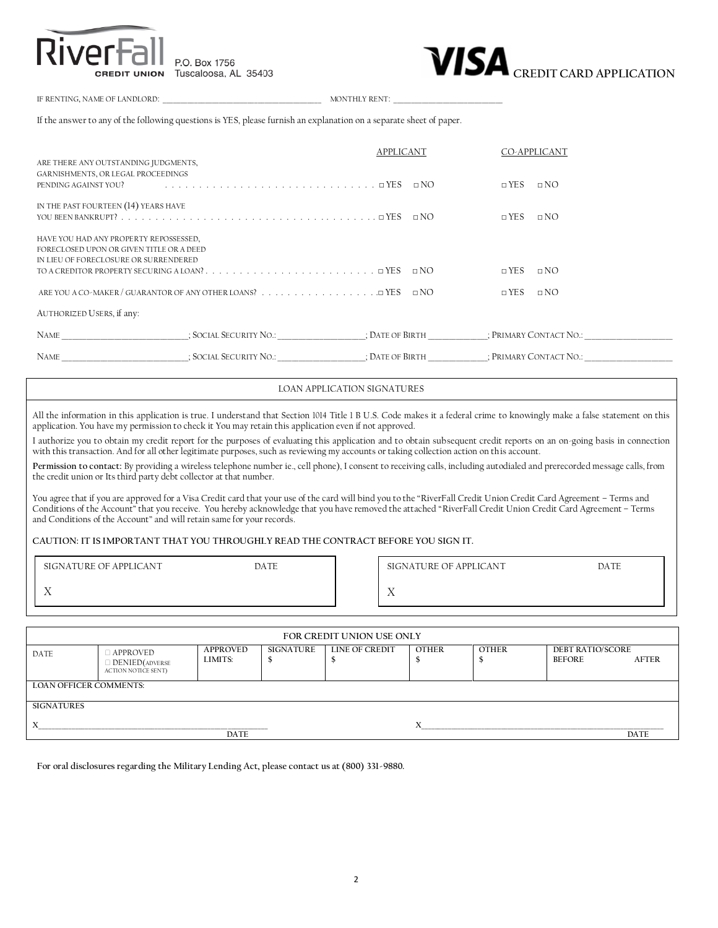

P.O. Box 1756<br>Tuscaloosa, AL 35403<br>**CREDIT CARD** APPLICATION

IF RENTING, NAME OF LANDLORD: \_\_\_\_\_\_\_\_\_\_\_\_\_\_\_\_\_\_\_\_\_\_\_\_\_\_\_\_\_\_\_\_\_\_\_\_\_\_\_\_\_\_\_\_\_ MONTHLY RENT: \_\_\_\_\_\_\_\_\_\_\_\_\_\_\_\_\_\_\_\_\_\_\_\_\_\_\_\_\_\_\_

If the answer to any of the following questions is YES, please furnish an explanation on a separate sheet of paper.

| ARE THERE ANY OUTSTANDING JUDGMENTS,                                                                                        |                                                                          | APPLICANT | CO-APPLICANT            |  |  |  |
|-----------------------------------------------------------------------------------------------------------------------------|--------------------------------------------------------------------------|-----------|-------------------------|--|--|--|
| GARNISHMENTS, OR LEGAL PROCEEDINGS<br>PENDING AGAINST YOU?                                                                  |                                                                          |           | $\Box$ YES<br>$\Box$ NO |  |  |  |
| IN THE PAST FOURTEEN (14) YEARS HAVE                                                                                        |                                                                          |           | $\Box$ YES $\Box$ NO    |  |  |  |
| HAVE YOU HAD ANY PROPERTY REPOSSESSED,<br>FORECLOSED UPON OR GIVEN TITLE OR A DEED<br>IN LIEU OF FORECLOSURE OR SURRENDERED |                                                                          |           |                         |  |  |  |
|                                                                                                                             |                                                                          |           | $\Box$ YES $\Box$ NO    |  |  |  |
|                                                                                                                             |                                                                          |           | $\Box$ YES<br>$\Box$ NO |  |  |  |
| AUTHORIZED USERS, if any:                                                                                                   |                                                                          |           |                         |  |  |  |
| NAME NAME                                                                                                                   |                                                                          |           |                         |  |  |  |
|                                                                                                                             | NAME ; SOCIAL SECURITY NO.: ; ; ; DATE OF BIRTH ; ; PRIMARY CONTACT NO.: |           |                         |  |  |  |

## LOAN APPLICATION SIGNATURES

All the information in this application is true. I understand that Section 1014 Title 1 B U.S. Code makes it a federal crime to knowingly make a false statement on this application. You have my permission to check it You may retain this application even if not approved.

I authorize you to obtain my credit report for the purposes of evaluating this application and to obtain subsequent credit reports on an on-going basis in connection with this transaction. And for all other legitimate purposes, such as reviewing my accounts or taking collection action on this account.

**Permission to contact:** By providing a wireless telephone number ie., cell phone), I consent to receiving calls, including autodialed and prerecorded message calls, from the credit union or Its third party debt collector at that number.

You agree that if you are approved for a Visa Credit card that your use of the card will bind you to the "RiverFall Credit Union Credit Card Agreement – Terms and Conditions of the Account" that you receive. You hereby acknowledge that you have removed the attached "RiverFall Credit Union Credit Card Agreement – Terms and Conditions of the Account" and will retain same for your records.

## **CAUTION: IT IS IMPORTANT THAT YOU THROUGHLY READ THE CONTRACT BEFORE YOU SIGN IT.**

| SIGNATURE OF APPLICANT | <b>DATE</b> | SIGNATURE OF APPLICANT | <b>DATE</b> |
|------------------------|-------------|------------------------|-------------|
|                        |             | <b>A</b>               |             |

|                        |                                                                 |                            |           | FOR CREDIT UNION USE ONLY |              |              |                                          |             |
|------------------------|-----------------------------------------------------------------|----------------------------|-----------|---------------------------|--------------|--------------|------------------------------------------|-------------|
| <b>DATE</b>            | $\Box$ APPROVED<br>$\Box$ DENIED(ADVERSE<br>ACTION NOTICE SENT) | <b>APPROVED</b><br>LIMITS: | SIGNATURE | LINE OF CREDIT            | <b>OTHER</b> | <b>OTHER</b> | <b>DEBT RATIO/SCORE</b><br><b>BEFORE</b> | AFTER       |
| LOAN OFFICER COMMENTS: |                                                                 |                            |           |                           |              |              |                                          |             |
| <b>SIGNATURES</b>      |                                                                 |                            |           |                           |              |              |                                          |             |
|                        |                                                                 |                            |           |                           |              |              |                                          |             |
|                        |                                                                 | DATE                       |           |                           |              |              |                                          | <b>DATE</b> |

**For oral disclosures regarding the Military Lending Act, please contact us at (800) 331-9880.**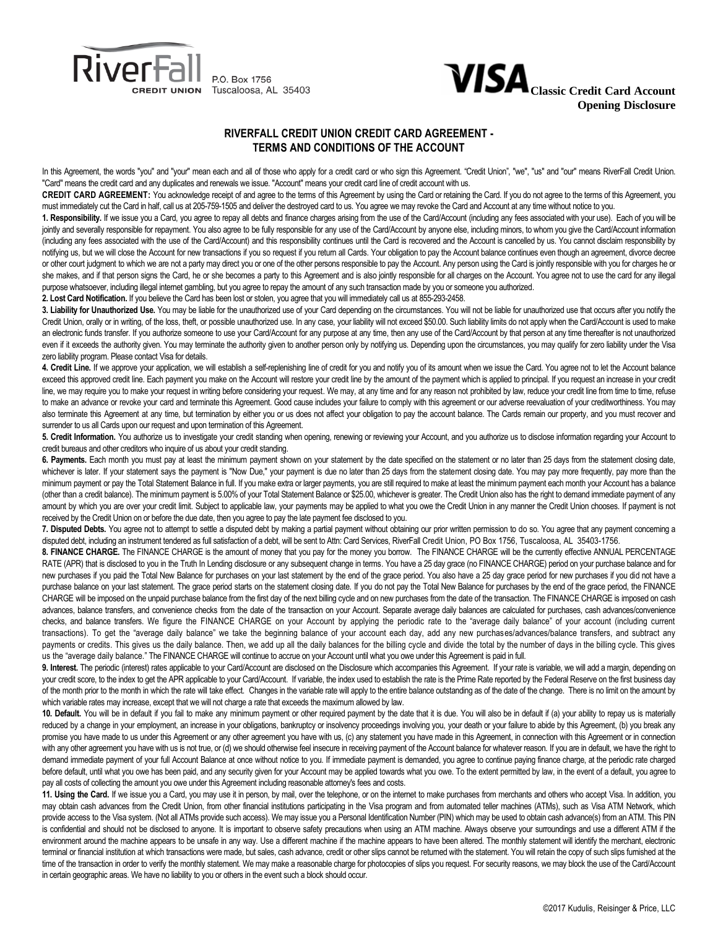



# **RIVERFALL CREDIT UNION CREDIT CARD AGREEMENT - TERMS AND CONDITIONS OF THE ACCOUNT**

In this Agreement, the words "you" and "your" mean each and all of those who apply for a credit card or who sign this Agreement. "Credit Union", "we", "us" and "our" means RiverFall Credit Union. "Card" means the credit card and any duplicates and renewals we issue. "Account" means your credit card line of credit account with us.

CREDIT CARD AGREEMENT: You acknowledge receipt of and agree to the terms of this Agreement by using the Card or retaining the Card. If you do not agree to the terms of this Agreement, you must immediately cut the Card in half, call us at 205-759-1505 and deliver the destroyed card to us. You agree we may revoke the Card and Account at any time without notice to you.

**1. Responsibility.** If we issue you a Card, you agree to repay all debts and finance charges arising from the use of the Card/Account (including any fees associated with your use). Each of you will be jointly and severally responsible for repayment. You also agree to be fully responsible for any use of the Card/Account by anyone else, including minors, to whom you give the Card/Account information (including any fees associated with the use of the Card/Account) and this responsibility continues until the Card is recovered and the Account is cancelled by us. You cannot disclaim responsibility by notifying us, but we will close the Account for new transactions if you so request if you return all Cards. Your obligation to pay the Account balance continues even though an agreement, divorce decree or other court judgment to which we are not a party may direct you or one of the other persons responsible to pay the Account. Any person using the Card is jointly responsible with you for charges he or she makes, and if that person signs the Card, he or she becomes a party to this Agreement and is also jointly responsible for all charges on the Account. You agree not to use the card for any illegal purpose whatsoever, including illegal internet gambling, but you agree to repay the amount of any such transaction made by you or someone you authorized.

**2. Lost Card Notification.** If you believe the Card has been lost or stolen, you agree that you will immediately call us at 855-293-2458.

**3. Liability for Unauthorized Use.** You may be liable for the unauthorized use of your Card depending on the circumstances. You will not be liable for unauthorized use that occurs after you notify the Credit Union, orally or in writing, of the loss, theft, or possible unauthorized use. In any case, your liability will not exceed \$50.00. Such liability limits do not apply when the Card/Account is used to make an electronic funds transfer. If you authorize someone to use your Card/Account for any purpose at any time, then any use of the Card/Account by that person at any time thereafter is not unauthorized even if it exceeds the authority given. You may terminate the authority given to another person only by notifying us. Depending upon the circumstances, you may qualify for zero liability under the Visa zero liability program. Please contact Visa for details.

4. Credit Line. If we approve your application, we will establish a self-replenishing line of credit for you and notify you of its amount when we issue the Card. You agree not to let the Account balance exceed this approved credit line. Each payment you make on the Account will restore your credit line by the amount of the payment which is applied to principal. If you request an increase in your credit line, we may require you to make your request in writing before considering your request. We may, at any time and for any reason not prohibited by law, reduce your credit line from time to time, refuse to make an advance or revoke your card and terminate this Agreement. Good cause includes your failure to comply with this agreement or our adverse reevaluation of your creditworthiness. You may also terminate this Agreement at any time, but termination by either you or us does not affect your obligation to pay the account balance. The Cards remain our property, and you must recover and surrender to us all Cards upon our request and upon termination of this Agreement.

**5. Credit Information.** You authorize us to investigate your credit standing when opening, renewing or reviewing your Account, and you authorize us to disclose information regarding your Account to credit bureaus and other creditors who inquire of us about your credit standing.

6. Payments. Each month you must pay at least the minimum payment shown on your statement by the date specified on the statement or no later than 25 days from the statement closing date, whichever is later. If your statement says the payment is "Now Due," your payment is due no later than 25 days from the statement closing date. You may pay more frequently, pay more than the minimum payment or pay the Total Statement Balance in full. If you make extra or larger payments, you are still required to make at least the minimum payment each month your Account has a balance (other than a credit balance). The minimum payment is 5.00% of your Total Statement Balance or \$25.00, whichever is greater. The Credit Union also has the right to demand immediate payment of any amount by which you are over your credit limit. Subject to applicable law, your payments may be applied to what you owe the Credit Union in any manner the Credit Union chooses. If payment is not received by the Credit Union on or before the due date, then you agree to pay the late payment fee disclosed to you.

7. Disputed Debts. You agree not to attempt to settle a disputed debt by making a partial payment without obtaining our prior written permission to do so. You agree that any payment concerning a disputed debt, including an instrument tendered as full satisfaction of a debt, will be sent to Attn: Card Services, RiverFall Credit Union, PO Box 1756, Tuscaloosa, AL 35403-1756.

**8. FINANCE CHARGE.** The FINANCE CHARGE is the amount of money that you pay for the money you borrow.The FINANCE CHARGE will be the currently effective ANNUAL PERCENTAGE RATE (APR) that is disclosed to you in the Truth In Lending disclosure or any subsequent change in terms. You have a 25 day grace (no FINANCE CHARGE) period on your purchase balance and for new purchases if you paid the Total New Balance for purchases on your last statement by the end of the grace period. You also have a 25 day grace period for new purchases if you did not have a purchase balance on your last statement. The grace period starts on the statement closing date. If you do not pay the Total New Balance for purchases by the end of the grace period, the FINANCE CHARGE will be imposed on the unpaid purchase balance from the first day of the next billing cycle and on new purchases from the date of the transaction. The FINANCE CHARGE is imposed on cash advances, balance transfers, and convenience checks from the date of the transaction on your Account. Separate average daily balances are calculated for purchases, cash advances/convenience checks, and balance transfers. We figure the FINANCE CHARGE on your Account by applying the periodic rate to the "average daily balance" of your account (including current transactions). To get the "average daily balance" we take the beginning balance of your account each day, add any new purchases/advances/balance transfers, and subtract any payments or credits. This gives us the daily balance. Then, we add up all the daily balances for the billing cycle and divide the total by the number of days in the billing cycle. This gives us the "average daily balance." The FINANCE CHARGE will continue to accrue on your Account until what you owe under this Agreement is paid in full.

**9. Interest.** The periodic (interest) rates applicable to your Card/Account are disclosed on the Disclosure which accompanies this Agreement. If your rate is variable, we will add a margin, depending on your credit score, to the index to get the APR applicable to your Card/Account. If variable, the index used to establish the rate is the Prime Rate reported by the Federal Reserve on the first business day of the month prior to the month in which the rate will take effect. Changes in the variable rate will apply to the entire balance outstanding as of the date of the change. There is no limit on the amount by which variable rates may increase, except that we will not charge a rate that exceeds the maximum allowed by law.

**10. Default.** You will be in default if you fail to make any minimum payment or other required payment by the date that it is due. You will also be in default if (a) your ability to repay us is materially reduced by a change in your employment, an increase in your obligations, bankruptcy or insolvency proceedings involving you, your death or your failure to abide by this Agreement, (b) you break any promise you have made to us under this Agreement or any other agreement you have with us, (c) any statement you have made in this Agreement, in connection with this Agreement or in connection with any other agreement you have with us is not true, or (d) we should otherwise feel insecure in receiving payment of the Account balance for whatever reason. If you are in default, we have the right to demand immediate payment of your full Account Balance at once without notice to you. If immediate payment is demanded, you agree to continue paying finance charge, at the periodic rate charged before default, until what you owe has been paid, and any security given for your Account may be applied towards what you owe. To the extent permitted by law, in the event of a default, you agree to pay all costs of collecting the amount you owe under this Agreement including reasonable attorney's fees and costs.

11. Using the Card. If we issue you a Card, you may use it in person, by mail, over the telephone, or on the internet to make purchases from merchants and others who accept Visa. In addition, you may obtain cash advances from the Credit Union, from other financial institutions participating in the Visa program and from automated teller machines (ATMs), such as Visa ATM Network, which provide access to the Visa system. (Not all ATMs provide such access). We may issue you a Personal Identification Number (PIN) which may be used to obtain cash advance(s) from an ATM. This PIN is confidential and should not be disclosed to anyone. It is important to observe safety precautions when using an ATM machine. Always observe your surroundings and use a different ATM if the environment around the machine appears to be unsafe in any way. Use a different machine if the machine appears to have been altered. The monthly statement will identify the merchant, electronic terminal or financial institution at which transactions were made, but sales, cash advance, credit or other slips cannot be returned with the statement. You will retain the copy of such slips furnished at the time of the transaction in order to verify the monthly statement. We may make a reasonable charge for photocopies of slips you request. For security reasons, we may block the use of the Card/Account in certain geographic areas. We have no liability to you or others in the event such a block should occur.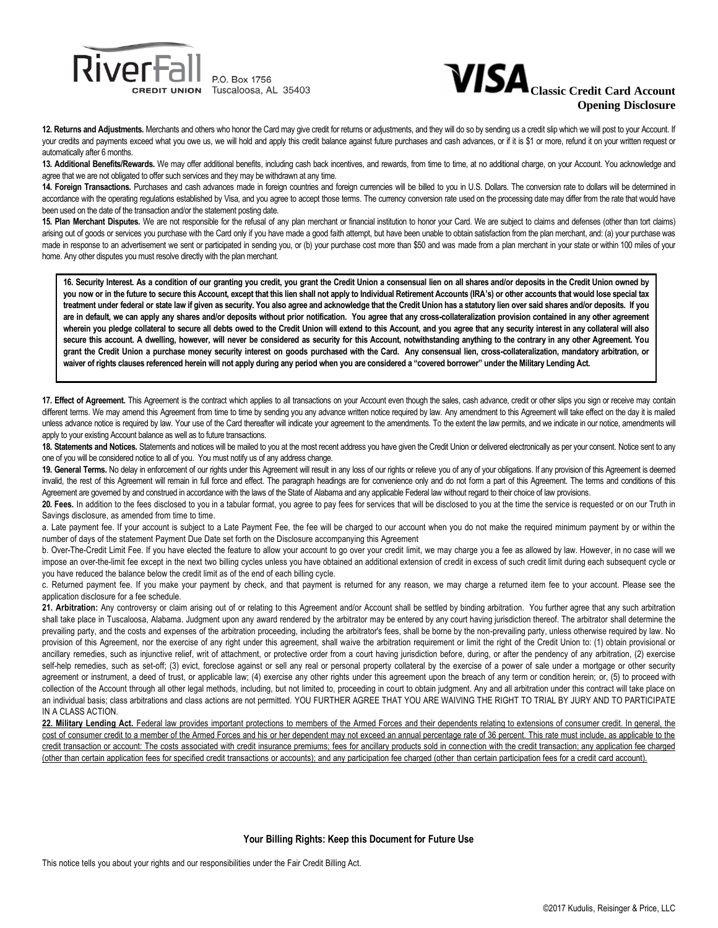



**12. Returns and Adjustments.** Merchants and others who honor the Card may give credit for returns or adjustments, and they will do so by sending us a credit slip which we will post to your Account. If your credits and payments exceed what you owe us, we will hold and apply this credit balance against future purchases and cash advances, or if it is \$1 or more, refund it on your written request or automatically after 6 months.

**13. Additional Benefits/Rewards.** We may offer additional benefits, including cash back incentives, and rewards, from time to time, at no additional charge, on your Account. You acknowledge and agree that we are not obligated to offer such services and they may be withdrawn at any time.

**14. Foreign Transactions.** Purchases and cash advances made in foreign countries and foreign currencies will be billed to you in U.S. Dollars. The conversion rate to dollars will be determined in accordance with the operating regulations established by Visa, and you agree to accept those terms. The currency conversion rate used on the processing date may differ from the rate that would have been used on the date of the transaction and/or the statement posting date.

**15. Plan Merchant Disputes.** We are not responsible for the refusal of any plan merchant or financial institution to honor your Card. We are subject to claims and defenses (other than tort claims) arising out of goods or services you purchase with the Card only if you have made a good faith attempt, but have been unable to obtain satisfaction from the plan merchant, and: (a) your purchase was made in response to an advertisement we sent or participated in sending you, or (b) your purchase cost more than \$50 and was made from a plan merchant in your state or within 100 miles of your home. Any other disputes you must resolve directly with the plan merchant.

**16. Security Interest. As a condition of our granting you credit, you grant the Credit Union a consensual lien on all shares and/or deposits in the Credit Union owned by you now or in the future to secure this Account, except that this lien shall not apply to Individual Retirement Accounts (IRA's) or other accounts that would lose special tax treatment under federal or state law if given as security. You also agree and acknowledge that the Credit Union has a statutory lien over said shares and/or deposits. If you are in default, we can apply any shares and/or deposits without prior notification. You agree that any cross-collateralization provision contained in any other agreement**  wherein you pledge collateral to secure all debts owed to the Credit Union will extend to this Account, and you agree that any security interest in any collateral will also secure this account. A dwelling, however, will never be considered as security for this Account, notwithstanding anything to the contrary in any other Agreement. You **grant the Credit Union a purchase money security interest on goods purchased with the Card. Any consensual lien, cross-collateralization, mandatory arbitration, or waiver of rights clauses referenced herein will not apply during any period when you are considered a "covered borrower" under the Military Lending Act.** 

17. Effect of Agreement. This Agreement is the contract which applies to all transactions on your Account even though the sales, cash advance, credit or other slips you sign or receive may contain different terms. We may amend this Agreement from time to time by sending you any advance written notice required by law. Any amendment to this Agreement will take effect on the day it is mailed unless advance notice is required by law. Your use of the Card thereafter will indicate your agreement to the amendments. To the extent the law permits, and we indicate in our notice, amendments will apply to your existing Account balance as well as to future transactions.

**18. Statements and Notices.** Statements and notices will be mailed to you at the most recent address you have given the Credit Union or delivered electronically as per your consent. Notice sent to any one of you will be considered notice to all of you. You must notify us of any address change.

**19. General Terms.** No delay in enforcement of our rights under this Agreement will result in any loss of our rights or relieve you of any of your obligations. If any provision of this Agreement is deemed invalid, the rest of this Agreement will remain in full force and effect. The paragraph headings are for convenience only and do not form a part of this Agreement. The terms and conditions of this Agreement are governed by and construed in accordance with the laws of the State of Alabama and any applicable Federal law without regard to their choice of law provisions.

**20. Fees.** In addition to the fees disclosed to you in a tabular format, you agree to pay fees for services that will be disclosed to you at the time the service is requested or on our Truth in Savings disclosure, as amended from time to time.

a. Late payment fee. If your account is subject to a Late Payment Fee, the fee will be charged to our account when you do not make the required minimum payment by or within the number of days of the statement Payment Due Date set forth on the Disclosure accompanying this Agreement

b. Over-The-Credit Limit Fee. If you have elected the feature to allow your account to go over your credit limit, we may charge you a fee as allowed by law. However, in no case will we impose an over-the-limit fee except in the next two billing cycles unless you have obtained an additional extension of credit in excess of such credit limit during each subsequent cycle or you have reduced the balance below the credit limit as of the end of each billing cycle.

c. Returned payment fee. If you make your payment by check, and that payment is returned for any reason, we may charge a returned item fee to your account. Please see the application disclosure for a fee schedule.

**21. Arbitration:** Any controversy or claim arising out of or relating to this Agreement and/or Account shall be settled by binding arbitration. You further agree that any such arbitration shall take place in Tuscaloosa, Alabama. Judgment upon any award rendered by the arbitrator may be entered by any court having jurisdiction thereof. The arbitrator shall determine the prevailing party, and the costs and expenses of the arbitration proceeding, including the arbitrator's fees, shall be borne by the non-prevailing party, unless otherwise required by law. No provision of this Agreement, nor the exercise of any right under this agreement, shall waive the arbitration requirement or limit the right of the Credit Union to: (1) obtain provisional or ancillary remedies, such as injunctive relief, writ of attachment, or protective order from a court having jurisdiction before, during, or after the pendency of any arbitration, (2) exercise self-help remedies, such as set-off; (3) evict, foreclose against or sell any real or personal property collateral by the exercise of a power of sale under a mortgage or other security agreement or instrument, a deed of trust, or applicable law; (4) exercise any other rights under this agreement upon the breach of any term or condition herein; or, (5) to proceed with collection of the Account through all other legal methods, including, but not limited to, proceeding in court to obtain judgment. Any and all arbitration under this contract will take place on an individual basis; class arbitrations and class actions are not permitted. YOU FURTHER AGREE THAT YOU ARE WAIVING THE RIGHT TO TRIAL BY JURY AND TO PARTICIPATE IN A CLASS ACTION.

22. Military Lending Act. Federal law provides important protections to members of the Armed Forces and their dependents relating to extensions of consumer credit. In general, the cost of consumer credit to a member of the Armed Forces and his or her dependent may not exceed an annual percentage rate of 36 percent. This rate must include, as applicable to the credit transaction or account: The costs associated with credit insurance premiums; fees for ancillary products sold in connection with the credit transaction; any application fee charged (other than certain application fees for specified credit transactions or accounts); and any participation fee charged (other than certain participation fees for a credit card account).

**Your Billing Rights: Keep this Document for Future Use**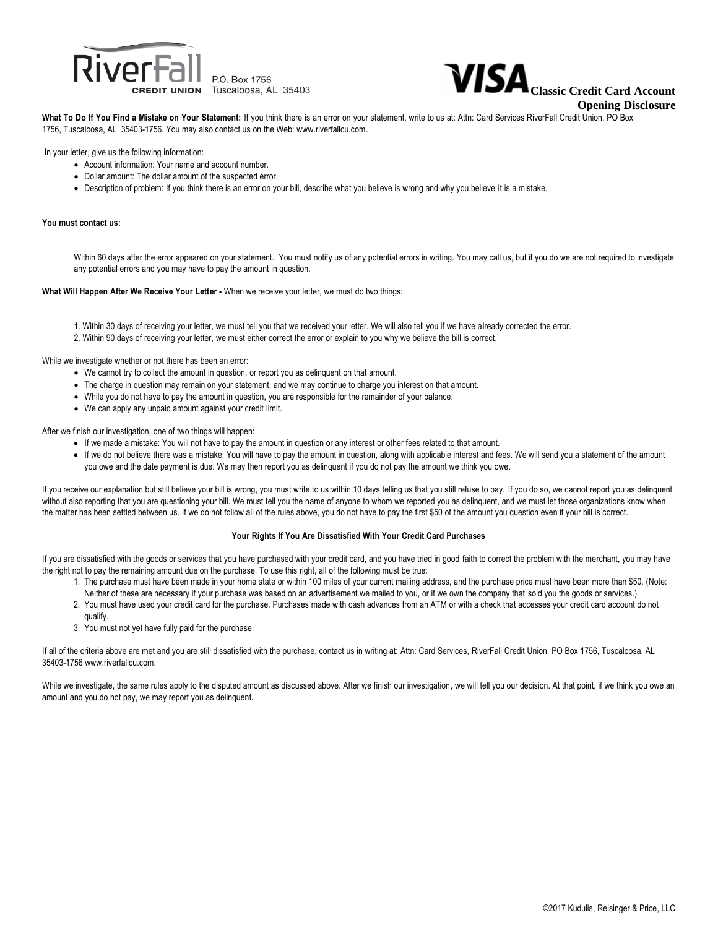



# **Classic Credit Card Account**

**Opening Disclosure**

**What To Do If You Find a Mistake on Your Statement:** If you think there is an error on your statement, write to us at: Attn: Card Services RiverFall Credit Union, PO Box 1756, Tuscaloosa, AL 35403-1756. You may also contact us on the Web: www.riverfallcu.com.

In your letter, give us the following information:

- Account information: Your name and account number.
- Dollar amount: The dollar amount of the suspected error.
- Description of problem: If you think there is an error on your bill, describe what you believe is wrong and why you believe it is a mistake.

#### **You must contact us:**

Within 60 days after the error appeared on your statement. You must notify us of any potential errors in writing. You may call us, but if you do we are not required to investigate any potential errors and you may have to pay the amount in question.

**What Will Happen After We Receive Your Letter -** When we receive your letter, we must do two things:

- 1. Within 30 days of receiving your letter, we must tell you that we received your letter. We will also tell you if we have already corrected the error.
- 2. Within 90 days of receiving your letter, we must either correct the error or explain to you why we believe the bill is correct.

While we investigate whether or not there has been an error:

- We cannot try to collect the amount in question, or report you as delinquent on that amount.
- The charge in question may remain on your statement, and we may continue to charge you interest on that amount.
- While you do not have to pay the amount in question, you are responsible for the remainder of your balance.
- We can apply any unpaid amount against your credit limit.

After we finish our investigation, one of two things will happen:

- If we made a mistake: You will not have to pay the amount in question or any interest or other fees related to that amount.
- If we do not believe there was a mistake: You will have to pay the amount in question, along with applicable interest and fees. We will send you a statement of the amount you owe and the date payment is due. We may then report you as delinquent if you do not pay the amount we think you owe.

If you receive our explanation but still believe your bill is wrong, you must write to us within 10 days telling us that you still refuse to pay. If you do so, we cannot report you as delinquent without also reporting that you are questioning your bill. We must tell you the name of anyone to whom we reported you as delinquent, and we must let those organizations know when the matter has been settled between us. If we do not follow all of the rules above, you do not have to pay the first \$50 of the amount you question even if your bill is correct.

## **Your Rights If You Are Dissatisfied With Your Credit Card Purchases**

If you are dissatisfied with the goods or services that you have purchased with your credit card, and you have tried in good faith to correct the problem with the merchant, you may have the right not to pay the remaining amount due on the purchase. To use this right, all of the following must be true:

- 1. The purchase must have been made in your home state or within 100 miles of your current mailing address, and the purchase price must have been more than \$50. (Note: Neither of these are necessary if your purchase was based on an advertisement we mailed to you, or if we own the company that sold you the goods or services.)
- 2. You must have used your credit card for the purchase. Purchases made with cash advances from an ATM or with a check that accesses your credit card account do not qualify.
- 3. You must not yet have fully paid for the purchase.

If all of the criteria above are met and you are still dissatisfied with the purchase, contact us in writing at: Attn: Card Services, RiverFall Credit Union, PO Box 1756, Tuscaloosa, AL 35403-1756 www.riverfallcu.com.

While we investigate, the same rules apply to the disputed amount as discussed above. After we finish our investigation, we will tell you our decision. At that point, if we think you owe an amount and you do not pay, we may report you as delinquent**.**